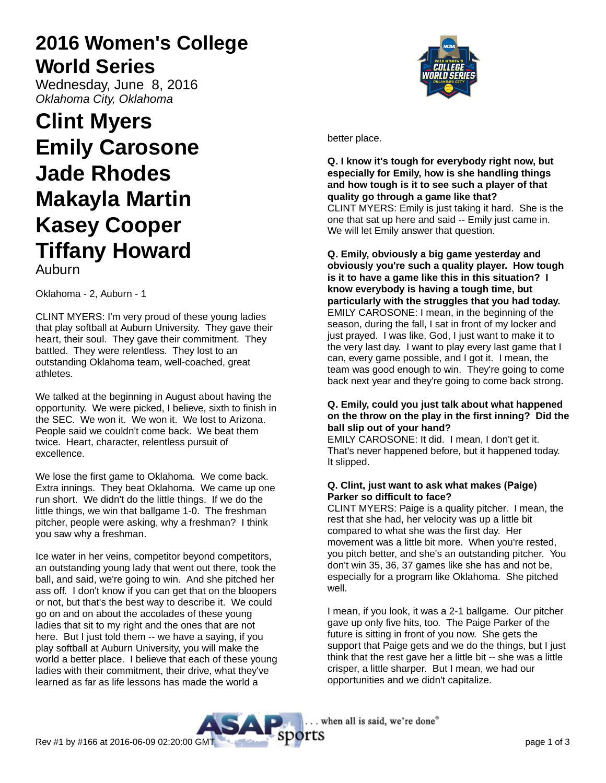# **2016 Women's College World Series**

Wednesday, June 8, 2016 Oklahoma City, Oklahoma

# **Clint Myers Emily Carosone Jade Rhodes Makayla Martin Kasey Cooper Tiffany Howard**

Auburn

Oklahoma - 2, Auburn - 1

CLINT MYERS: I'm very proud of these young ladies that play softball at Auburn University. They gave their heart, their soul. They gave their commitment. They battled. They were relentless. They lost to an outstanding Oklahoma team, well-coached, great athletes.

We talked at the beginning in August about having the opportunity. We were picked, I believe, sixth to finish in the SEC. We won it. We won it. We lost to Arizona. People said we couldn't come back. We beat them twice. Heart, character, relentless pursuit of excellence.

We lose the first game to Oklahoma. We come back. Extra innings. They beat Oklahoma. We came up one run short. We didn't do the little things. If we do the little things, we win that ballgame 1-0. The freshman pitcher, people were asking, why a freshman? I think you saw why a freshman.

Ice water in her veins, competitor beyond competitors, an outstanding young lady that went out there, took the ball, and said, we're going to win. And she pitched her ass off. I don't know if you can get that on the bloopers or not, but that's the best way to describe it. We could go on and on about the accolades of these young ladies that sit to my right and the ones that are not here. But I just told them -- we have a saying, if you play softball at Auburn University, you will make the world a better place. I believe that each of these young ladies with their commitment, their drive, what they've learned as far as life lessons has made the world a



better place.

**Q. I know it's tough for everybody right now, but especially for Emily, how is she handling things and how tough is it to see such a player of that quality go through a game like that?** CLINT MYERS: Emily is just taking it hard. She is the one that sat up here and said -- Emily just came in. We will let Emily answer that question.

**Q. Emily, obviously a big game yesterday and obviously you're such a quality player. How tough is it to have a game like this in this situation? I know everybody is having a tough time, but particularly with the struggles that you had today.** EMILY CAROSONE: I mean, in the beginning of the season, during the fall, I sat in front of my locker and just prayed. I was like, God, I just want to make it to the very last day. I want to play every last game that I can, every game possible, and I got it. I mean, the team was good enough to win. They're going to come back next year and they're going to come back strong.

# **Q. Emily, could you just talk about what happened on the throw on the play in the first inning? Did the ball slip out of your hand?**

EMILY CAROSONE: It did. I mean, I don't get it. That's never happened before, but it happened today. It slipped.

# **Q. Clint, just want to ask what makes (Paige) Parker so difficult to face?**

CLINT MYERS: Paige is a quality pitcher. I mean, the rest that she had, her velocity was up a little bit compared to what she was the first day. Her movement was a little bit more. When you're rested, you pitch better, and she's an outstanding pitcher. You don't win 35, 36, 37 games like she has and not be, especially for a program like Oklahoma. She pitched well.

I mean, if you look, it was a 2-1 ballgame. Our pitcher gave up only five hits, too. The Paige Parker of the future is sitting in front of you now. She gets the support that Paige gets and we do the things, but I just think that the rest gave her a little bit -- she was a little crisper, a little sharper. But I mean, we had our opportunities and we didn't capitalize.

. when all is said, we're done®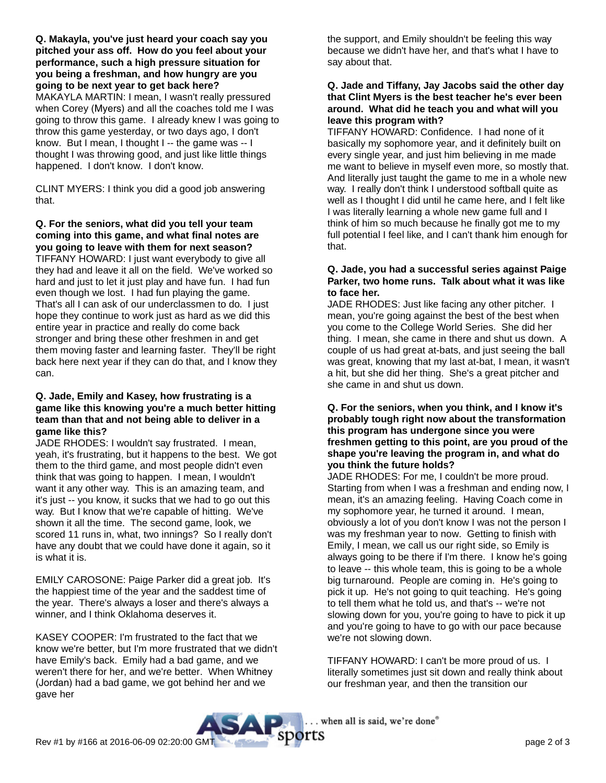**Q. Makayla, you've just heard your coach say you pitched your ass off. How do you feel about your performance, such a high pressure situation for you being a freshman, and how hungry are you going to be next year to get back here?**

MAKAYLA MARTIN: I mean, I wasn't really pressured when Corey (Myers) and all the coaches told me I was going to throw this game. I already knew I was going to throw this game yesterday, or two days ago, I don't know. But I mean, I thought I -- the game was -- I thought I was throwing good, and just like little things happened. I don't know. I don't know.

CLINT MYERS: I think you did a good job answering that.

## **Q. For the seniors, what did you tell your team coming into this game, and what final notes are you going to leave with them for next season?**

TIFFANY HOWARD: I just want everybody to give all they had and leave it all on the field. We've worked so hard and just to let it just play and have fun. I had fun even though we lost. I had fun playing the game. That's all I can ask of our underclassmen to do. I just hope they continue to work just as hard as we did this entire year in practice and really do come back stronger and bring these other freshmen in and get them moving faster and learning faster. They'll be right back here next year if they can do that, and I know they can.

#### **Q. Jade, Emily and Kasey, how frustrating is a game like this knowing you're a much better hitting team than that and not being able to deliver in a game like this?**

JADE RHODES: I wouldn't say frustrated. I mean, yeah, it's frustrating, but it happens to the best. We got them to the third game, and most people didn't even think that was going to happen. I mean, I wouldn't want it any other way. This is an amazing team, and it's just -- you know, it sucks that we had to go out this way. But I know that we're capable of hitting. We've shown it all the time. The second game, look, we scored 11 runs in, what, two innings? So I really don't have any doubt that we could have done it again, so it is what it is.

EMILY CAROSONE: Paige Parker did a great job. It's the happiest time of the year and the saddest time of the year. There's always a loser and there's always a winner, and I think Oklahoma deserves it.

KASEY COOPER: I'm frustrated to the fact that we know we're better, but I'm more frustrated that we didn't have Emily's back. Emily had a bad game, and we weren't there for her, and we're better. When Whitney (Jordan) had a bad game, we got behind her and we gave her

the support, and Emily shouldn't be feeling this way because we didn't have her, and that's what I have to say about that.

#### **Q. Jade and Tiffany, Jay Jacobs said the other day that Clint Myers is the best teacher he's ever been around. What did he teach you and what will you leave this program with?**

TIFFANY HOWARD: Confidence. I had none of it basically my sophomore year, and it definitely built on every single year, and just him believing in me made me want to believe in myself even more, so mostly that. And literally just taught the game to me in a whole new way. I really don't think I understood softball quite as well as I thought I did until he came here, and I felt like I was literally learning a whole new game full and I think of him so much because he finally got me to my full potential I feel like, and I can't thank him enough for that.

### **Q. Jade, you had a successful series against Paige Parker, two home runs. Talk about what it was like to face her.**

JADE RHODES: Just like facing any other pitcher. I mean, you're going against the best of the best when you come to the College World Series. She did her thing. I mean, she came in there and shut us down. A couple of us had great at-bats, and just seeing the ball was great, knowing that my last at-bat, I mean, it wasn't a hit, but she did her thing. She's a great pitcher and she came in and shut us down.

#### **Q. For the seniors, when you think, and I know it's probably tough right now about the transformation this program has undergone since you were freshmen getting to this point, are you proud of the shape you're leaving the program in, and what do you think the future holds?**

JADE RHODES: For me, I couldn't be more proud. Starting from when I was a freshman and ending now, I mean, it's an amazing feeling. Having Coach come in my sophomore year, he turned it around. I mean, obviously a lot of you don't know I was not the person I was my freshman year to now. Getting to finish with Emily, I mean, we call us our right side, so Emily is always going to be there if I'm there. I know he's going to leave -- this whole team, this is going to be a whole big turnaround. People are coming in. He's going to pick it up. He's not going to quit teaching. He's going to tell them what he told us, and that's -- we're not slowing down for you, you're going to have to pick it up and you're going to have to go with our pace because we're not slowing down.

TIFFANY HOWARD: I can't be more proud of us. I literally sometimes just sit down and really think about our freshman year, and then the transition our

. when all is said, we're done"